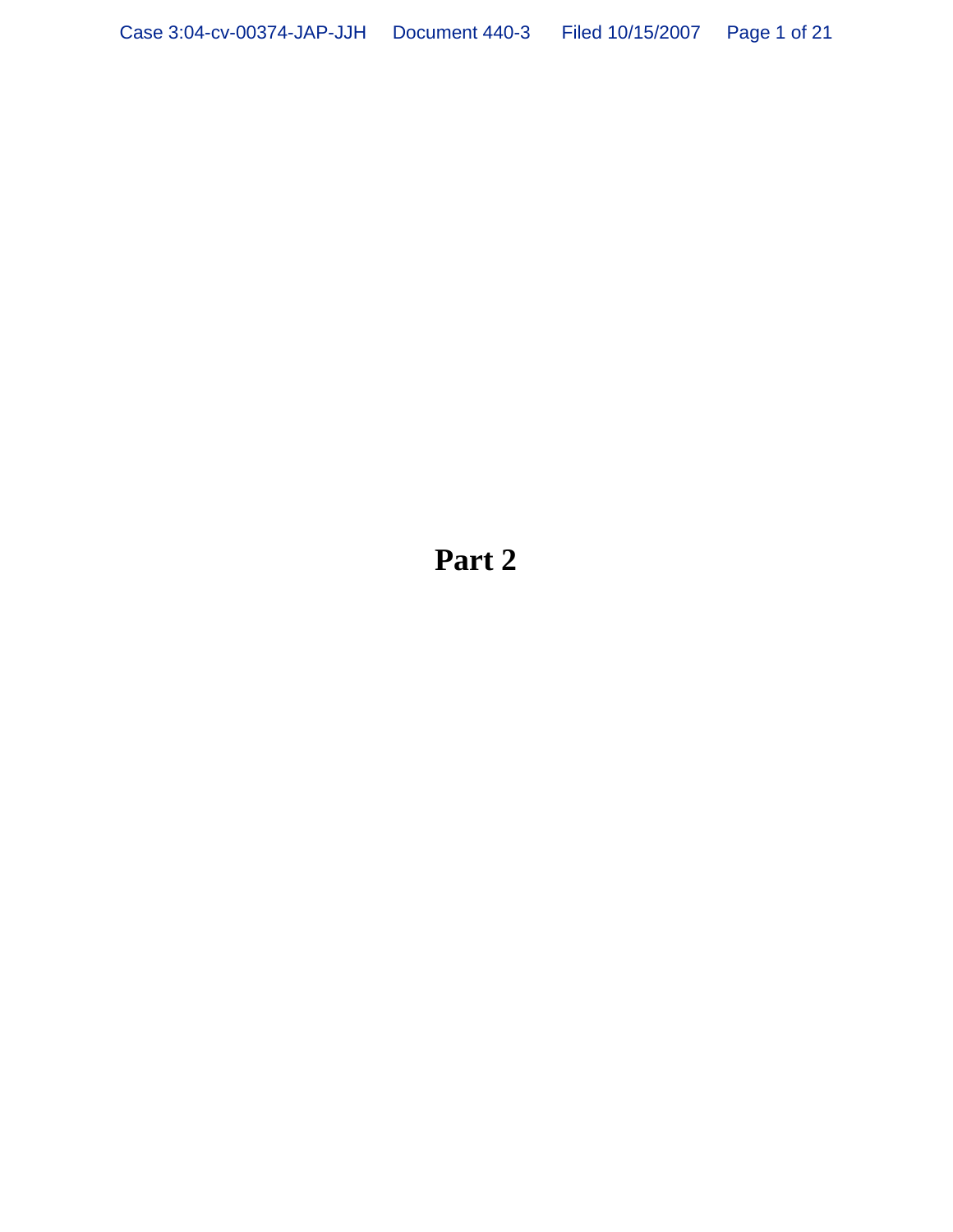**Part 2**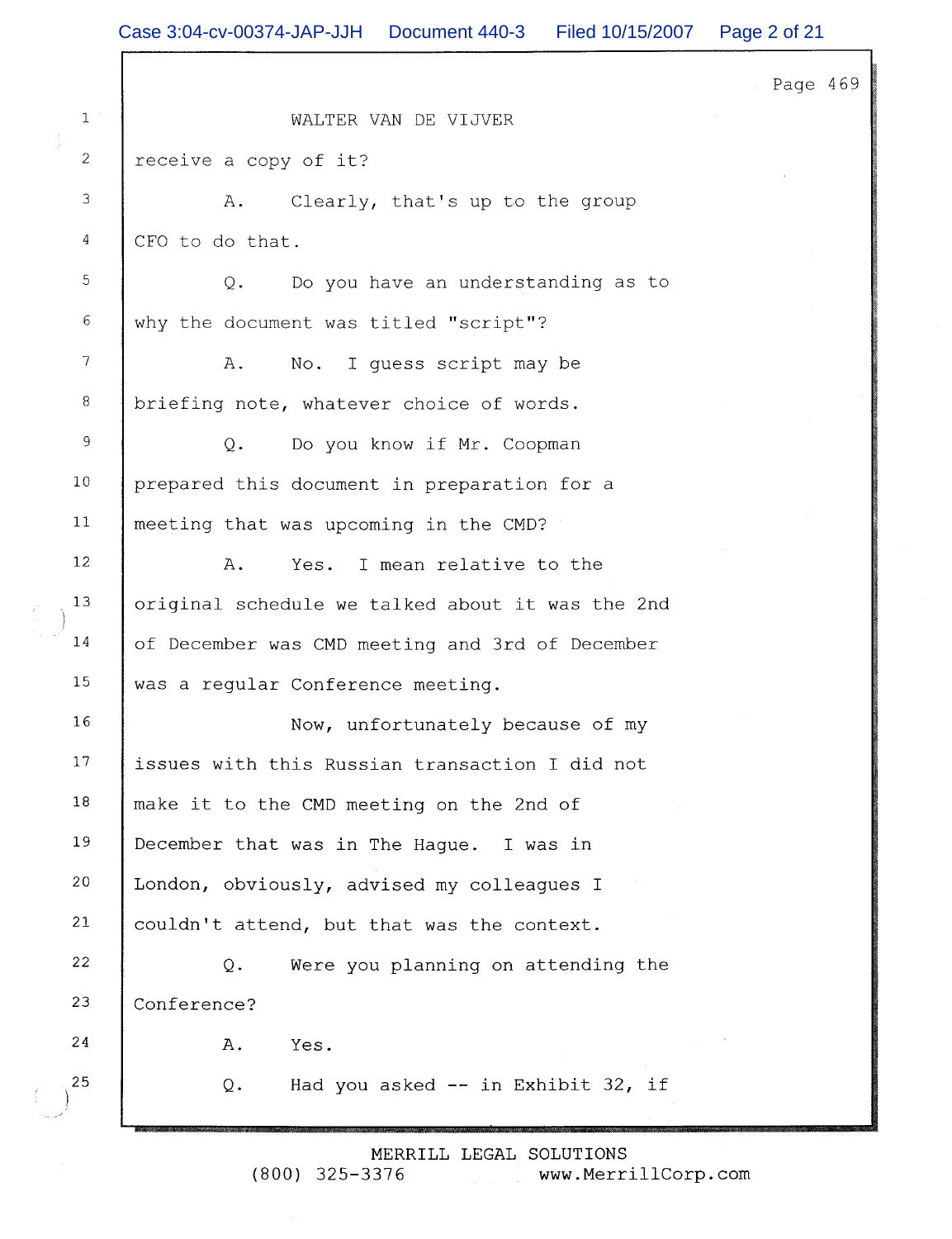|                | Case 3:04-cv-00374-JAP-JJH  Document 440-3  Filed 10/15/2007  Page 2 of 21 |          |
|----------------|----------------------------------------------------------------------------|----------|
|                |                                                                            | Page 469 |
| 1 <sup>1</sup> | WALTER VAN DE VIJVER                                                       |          |
| $\overline{2}$ | receive a copy of it?                                                      |          |
| 3              | Clearly, that's up to the group<br>Α.                                      |          |
| 4              | CFO to do that.                                                            |          |
| $\mathbb S$    | Do you have an understanding as to<br>$Q$ .                                |          |
| $6\,$          | why the document was titled "script"?                                      |          |
| $\overline{7}$ | A.<br>I quess script may be<br>No.                                         |          |
| $\,8\,$        | briefing note, whatever choice of words.                                   |          |
| 9              | Do you know if Mr. Coopman<br>$Q$ .                                        |          |
| 10             | prepared this document in preparation for a                                |          |
| 11             | meeting that was upcoming in the CMD?                                      |          |
| 12             | I mean relative to the<br>Α.<br>Yes.                                       |          |
| 13             | original schedule we talked about it was the 2nd                           |          |
| 14             | of December was CMD meeting and 3rd of December                            |          |
| 15             | was a regular Conference meeting.                                          |          |
| 16             | Now, unfortunately because of my                                           |          |
| 17             | issues with this Russian transaction I did not                             |          |
| 18             | make it to the CMD meeting on the 2nd of                                   |          |
| 19             | December that was in The Hague. I was in                                   |          |
| 20             | London, obviously, advised my colleagues I                                 |          |
| 21             | couldn't attend, but that was the context.                                 |          |
| 22             | $Q$ .<br>Were you planning on attending the                                |          |
| 23             | Conference?                                                                |          |
| 24             | Α.<br>Yes.                                                                 |          |
| 25             | Had you asked $--$ in Exhibit 32, if<br>Q.                                 |          |
|                |                                                                            |          |

MERRILL LEGAL SOLUTIONS<br>(800) 325-3376 www.Merri www.MerrillCorp.com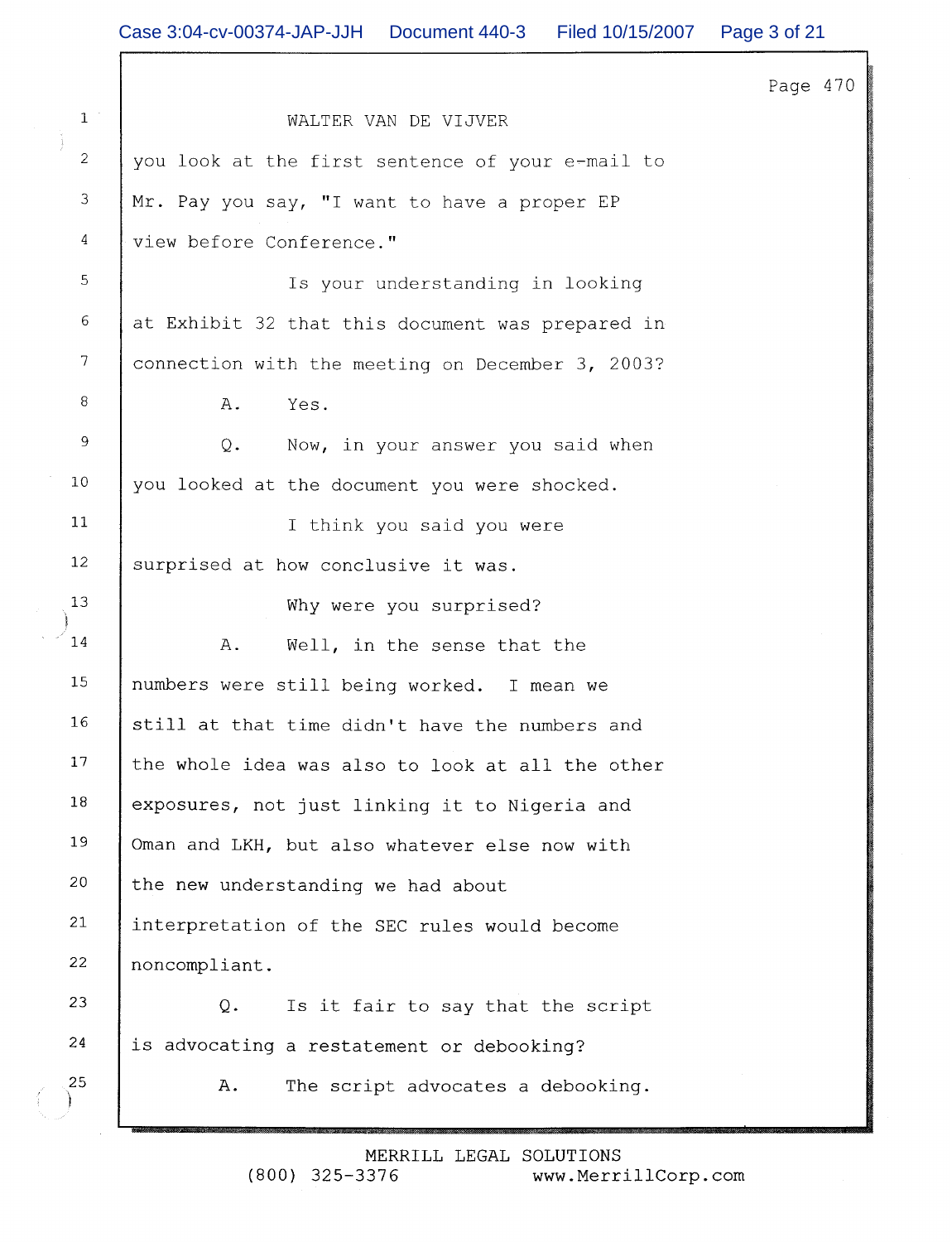Page 470  $\mathbf{1}$ WALTER VAN DE VIJVER  $\overline{2}$ you look at the first sentence of your e-mail to 3 Mr. Pay you say, "I want to have a proper EP  $\overline{4}$ view before Conference." 5 Is your understanding in looking 6 at Exhibit 32 that this document was prepared in  $\overline{7}$ connection with the meeting on December 3, 2003? 8  $A$ . Yes. 9 Now, in your answer you said when  $Q_{\bullet}$  $10$ you looked at the document you were shocked.  $11$ I think you said you were 12 surprised at how conclusive it was. 13 Why were you surprised? 14  $A$ . Well, in the sense that the 15 numbers were still being worked. I mean we 16 still at that time didn't have the numbers and 17 the whole idea was also to look at all the other 18 exposures, not just linking it to Nigeria and 19 Oman and LKH, but also whatever else now with 20 the new understanding we had about 21 interpretation of the SEC rules would become 22 noncompliant. 23 Q. Is it fair to say that the script 24 is advocating a restatement or debooking? 25 A. The script advocates a debooking.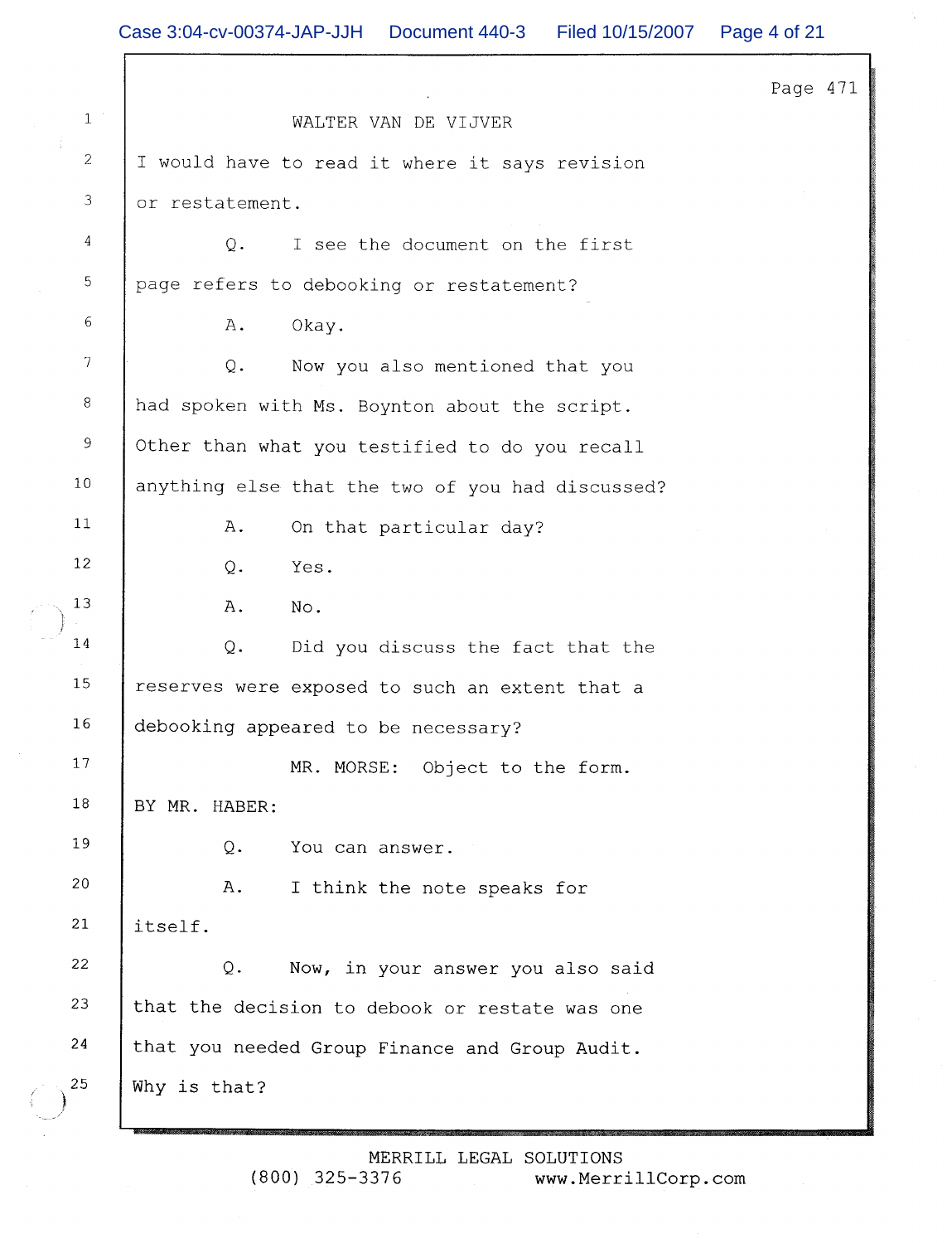|                |                                                  | Page 471 |  |
|----------------|--------------------------------------------------|----------|--|
| $1\,$ $^\circ$ | WALTER VAN DE VIJVER                             |          |  |
| $\overline{2}$ | I would have to read it where it says revision   |          |  |
| $\mathfrak I$  | or restatement.                                  |          |  |
| $\overline{4}$ | $Q$ .<br>I see the document on the first         |          |  |
| 5              | page refers to debooking or restatement?         |          |  |
| 6              | Α.<br>Okay.                                      |          |  |
| $\overline{7}$ | Now you also mentioned that you<br>Q.            |          |  |
| 8              | had spoken with Ms. Boynton about the script.    |          |  |
| $\,9$          | Other than what you testified to do you recall   |          |  |
| 10             | anything else that the two of you had discussed? |          |  |
| 11             | Α.<br>On that particular day?                    |          |  |
| 12             | Yes.<br>Q.                                       |          |  |
| 13             | No.<br>Α.                                        |          |  |
| 14             | Did you discuss the fact that the<br>Q.          |          |  |
| 15             | reserves were exposed to such an extent that a   |          |  |
| 16             | debooking appeared to be necessary?              |          |  |
| 17             | MR. MORSE: Object to the form.                   |          |  |
| 18             | BY MR. HABER:                                    |          |  |
| 19             | Q.<br>You can answer.                            |          |  |
| 20             | Α.<br>I think the note speaks for                |          |  |
| 21             | itself.                                          |          |  |
| 22             | Q.<br>Now, in your answer you also said          |          |  |
| 23             | that the decision to debook or restate was one   |          |  |
| 24             | that you needed Group Finance and Group Audit.   |          |  |
| 25             | Why is that?                                     |          |  |
|                | MERRILL LEGAL SOLUTIONS                          |          |  |

www.MerrillCorp.com

 $(800)$  325-3376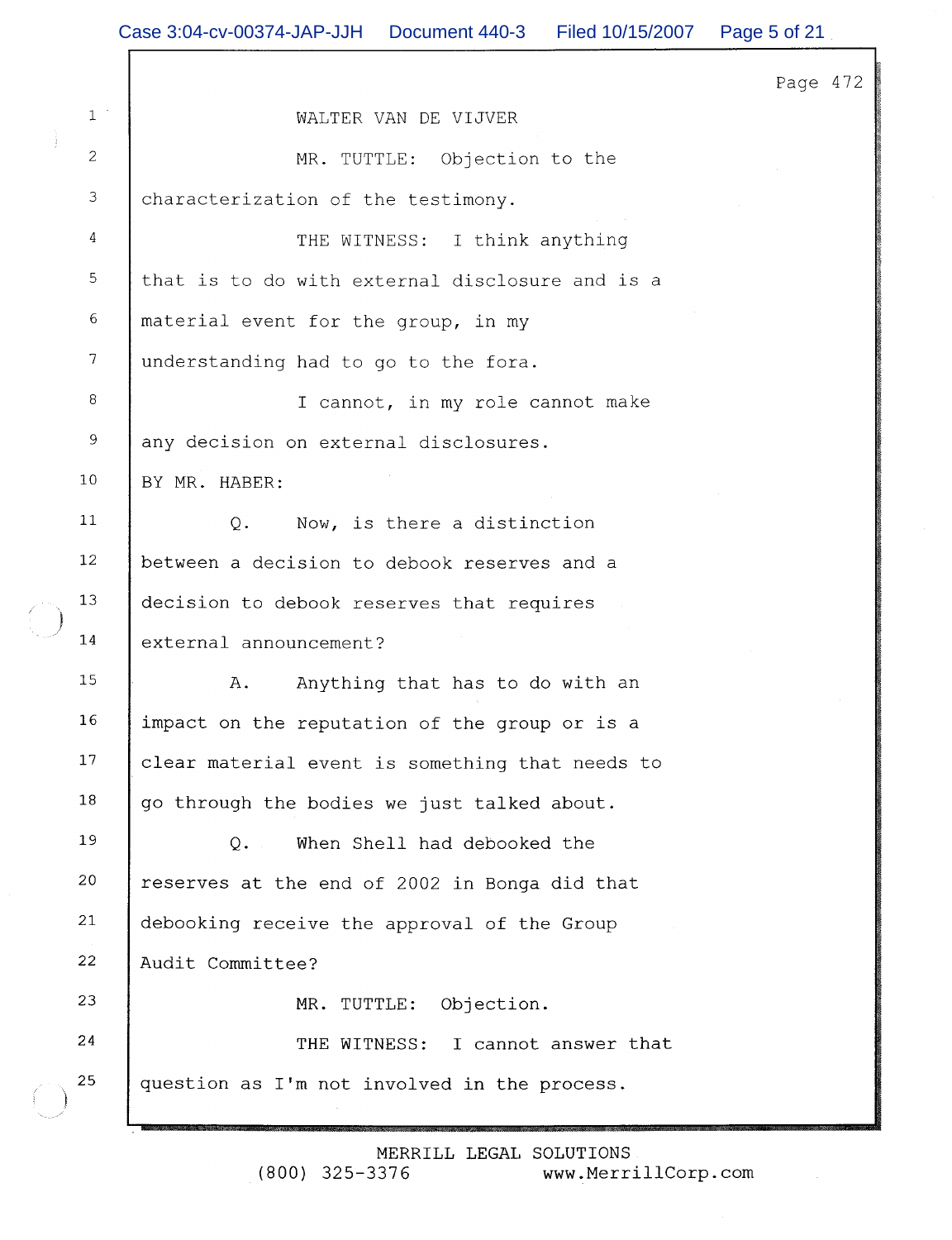|                | Case 3:04-cv-00374-JAP-JJH Document 440-3<br>Filed 10/15/2007 | Page 5 of 21 |
|----------------|---------------------------------------------------------------|--------------|
|                |                                                               | Page 472     |
| $1\,$ $^\circ$ | WALTER VAN DE VIJVER                                          |              |
| $\overline{c}$ | MR. TUTTLE: Objection to the                                  |              |
| $\mathfrak{Z}$ | characterization of the testimony.                            |              |
| 4              | THE WITNESS: I think anything                                 |              |
| 5              | that is to do with external disclosure and is a               |              |
| 6              | material event for the group, in my                           |              |
| $\overline{7}$ | understanding had to go to the fora.                          |              |
| 8              | I cannot, in my role cannot make                              |              |
| 9              | any decision on external disclosures.                         |              |
| 10             | BY MR. HABER:                                                 |              |
| 11             | Now, is there a distinction<br>$Q$ .                          |              |
| 12             | between a decision to debook reserves and a                   |              |
| 13             | decision to debook reserves that requires                     |              |
| 14             | external announcement?                                        |              |
| 15             | Anything that has to do with an<br>Α.                         |              |
| 16             | impact on the reputation of the group or is a                 |              |
| 17             | clear material event is something that needs to               |              |
| 18             | go through the bodies we just talked about.                   |              |
| 19             | When Shell had debooked the<br>$Q_{\bullet}$                  |              |
| 20             | reserves at the end of 2002 in Bonga did that                 |              |
| 21             | debooking receive the approval of the Group                   |              |
| 22             | Audit Committee?                                              |              |
| 23             | MR. TUTTLE:<br>Objection.                                     |              |
| 24             | THE WITNESS: I cannot answer that                             |              |
| 25             | question as I'm not involved in the process.                  |              |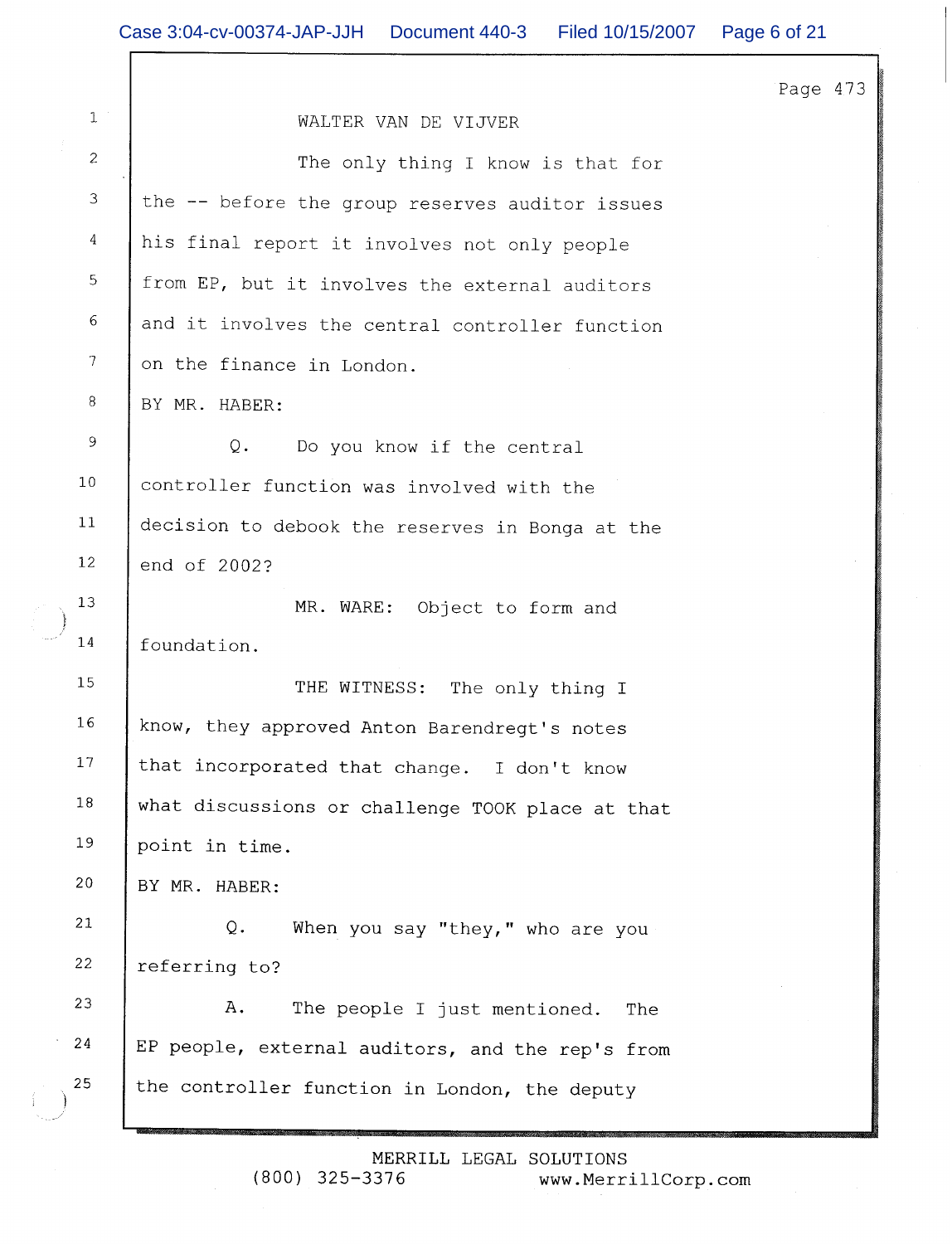$\mathbf{1}$ WALTER VAN DE VIJVER  $\overline{c}$ The only thing I know is that for 3 the -- before the group reserves auditor issues  $\sqrt{4}$ his final report it involves not only people 5 from EP, but it involves the external auditors 6 and it involves the central controller function  $\overline{7}$ on the finance in London. 8 BY MR. HABER:  $\overline{9}$  $Q$ . Do you know if the central  $10$ controller function was involved with the  $11$ decision to debook the reserves in Bonga at the  $12$ end of 2002?  $13$ MR. WARE: Object to form and 14 foundation. 15 THE WITNESS: The only thing I 16 know, they approved Anton Barendreqt's notes 17 that incorporated that change. I don't know 18 what discussions or challenge TOOK place at that 19 point in time. 20 BY MR. HABER:  $21$  $Q$ . When you say "they," who are you 22 referring to? 23 A. The people I just mentioned. The 24 EP people, external auditors, and the rep's from 25 the controller function in London, the deputy

Page 473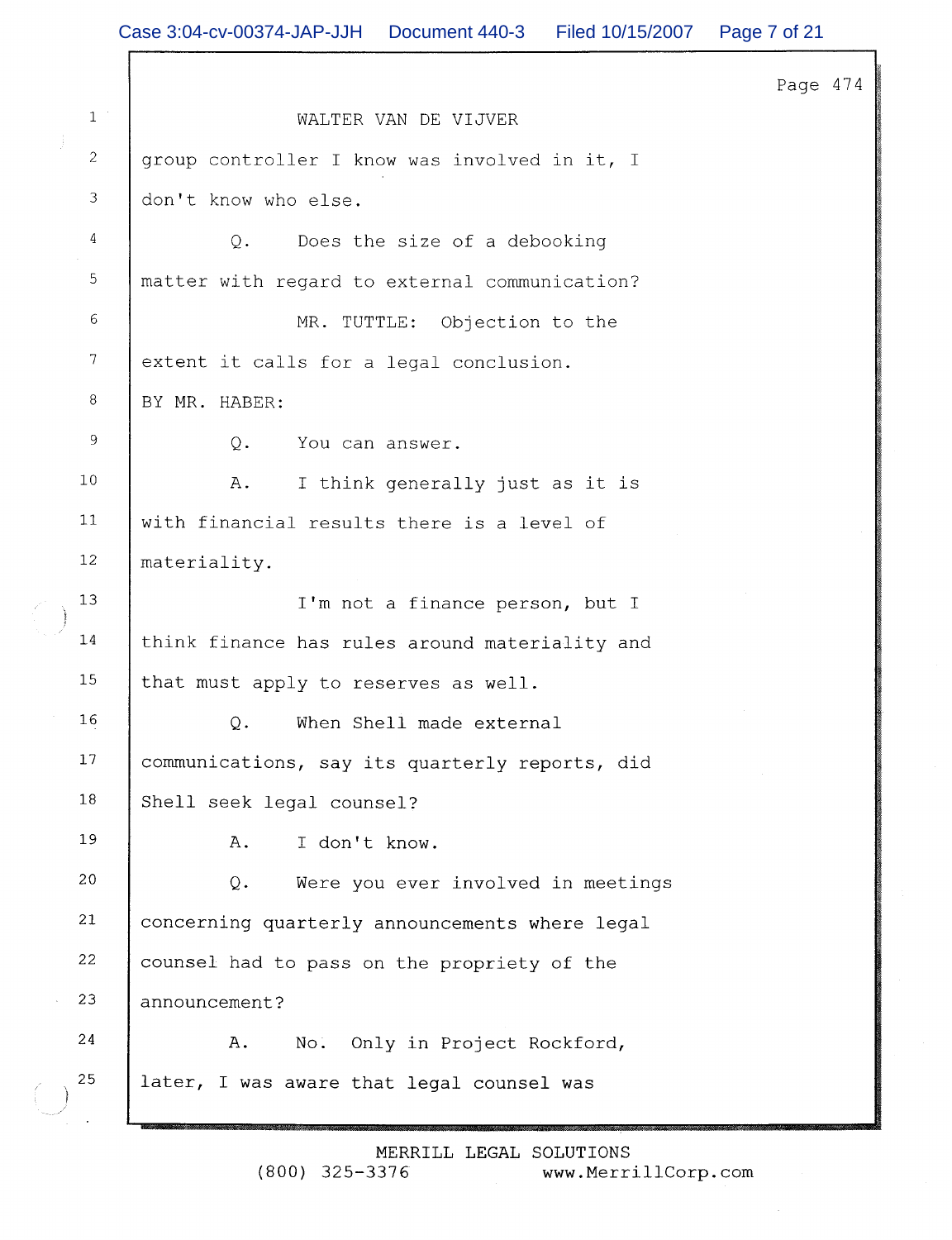Page 474  $\mathbf{1}$ WALTER VAN DE VIJVER  $\overline{c}$ group controller I know was involved in it, I 3 don't know who else.  $\overline{4}$  $O<sub>1</sub>$ Does the size of a debooking 5 matter with regard to external communication? 6 MR. TUTTLE: Objection to the 7 extent it calls for a legal conclusion. 8 BY MR. HABER: 9  $O<sub>1</sub>$ You can answer.  $10$ A. I think generally just as it is  $11$ with financial results there is a level of  $12$ materiality.  $13$ I'm not a finance person, but I 14 think finance has rules around materiality and 15 that must apply to reserves as well. 16 When Shell made external  $O<sub>z</sub>$ 17 communications, say its quarterly reports, did 18 Shell seek legal counsel? 19 A. I don't know. 20  $Q_{\bullet}$ Were you ever involved in meetings 21 concerning quarterly announcements where legal 22 counsel had to pass on the propriety of the 23 announcement? 24 Α. Only in Project Rockford, No. 25 later, I was aware that legal counsel was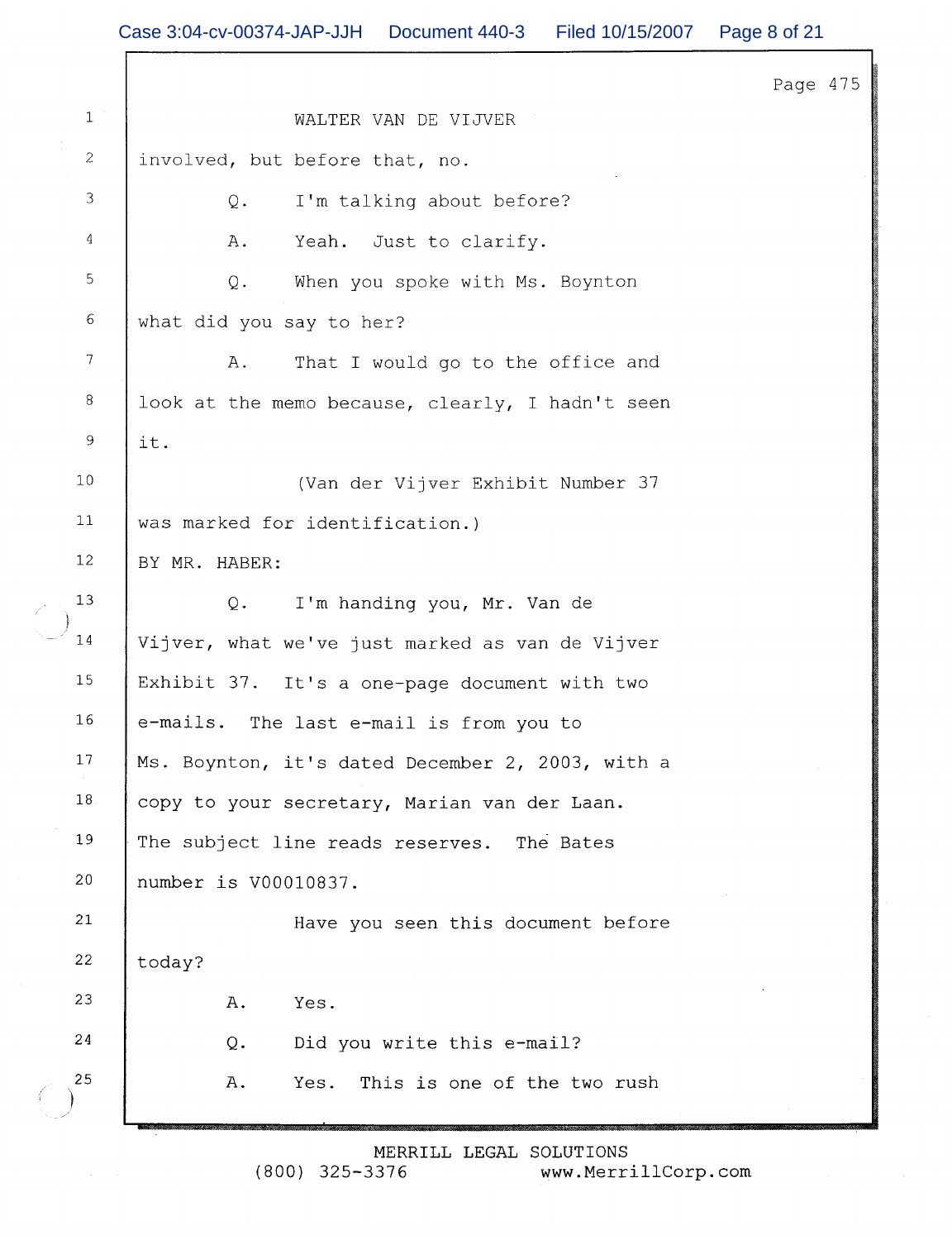|                | Case 3:04-cv-00374-JAP-JJH  Document 440-3  Filed 10/15/2007 | Page 8 of 21 |
|----------------|--------------------------------------------------------------|--------------|
|                |                                                              | Page 475     |
| $\mathbf{1}$   | WALTER VAN DE VIJVER                                         |              |
| $\mathbf{2}$   | involved, but before that, no.                               |              |
| 3              | I'm talking about before?<br>Q.                              |              |
| 4              | Yeah. Just to clarify.<br>Α.                                 |              |
| $\mathsf S$    | $Q$ .<br>When you spoke with Ms. Boynton                     |              |
| $\epsilon$     | what did you say to her?                                     |              |
| $\overline{7}$ | That I would go to the office and<br>Α.                      |              |
| $\, 8$         | look at the memo because, clearly, I hadn't seen             |              |
| $\overline{9}$ | it.                                                          |              |
| 10             | (Van der Vijver Exhibit Number 37                            |              |
| 11             | was marked for identification.)                              |              |
| $12\,$         | BY MR. HABER:                                                |              |
| 13             | Q.<br>I'm handing you, Mr. Van de                            |              |
| $1\,4$         | Vijver, what we've just marked as van de Vijver              |              |
| 15             | Exhibit 37. It's a one-page document with two                |              |
| 16             | e-mails. The last e-mail is from you to                      |              |
| 17             | Ms. Boynton, it's dated December 2, 2003, with a             |              |
| 18             | copy to your secretary, Marian van der Laan.                 |              |
| 19             | The subject line reads reserves. The Bates                   |              |
| 20             | number is V00010837.                                         |              |
| 21             | Have you seen this document before                           |              |
| 22             | today?                                                       |              |
| 23             | Α.<br>Yes.                                                   |              |
| 24             | Did you write this e-mail?<br>Q.                             |              |
| 25             | This is one of the two rush<br>A.<br>Yes.                    |              |

MERRILL LEGAL SOLUTIONS<br>:400) 325-3376 www.Merr www.MerrillCorp.com

 $\epsilon$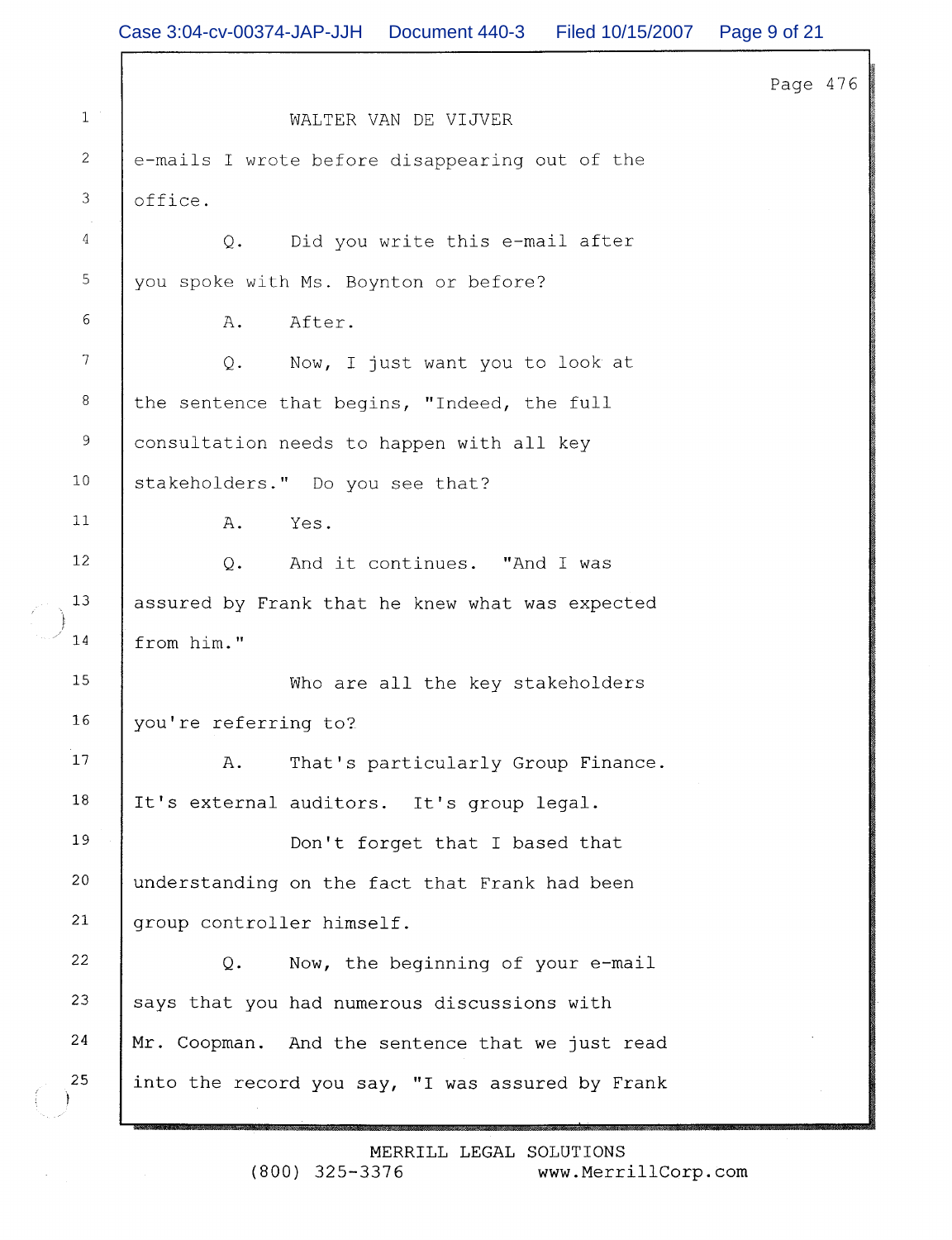|                | Case 3:04-cv-00374-JAP-JJH<br>Document 440-3<br>Filed 10/15/2007 | Page 9 of 21 |
|----------------|------------------------------------------------------------------|--------------|
|                |                                                                  | Page 476     |
| $1\,$ $^\circ$ | WALTER VAN DE VIJVER                                             |              |
| $\overline{2}$ | e-mails I wrote before disappearing out of the                   |              |
| 3              | office.                                                          |              |
| 4              | Did you write this e-mail after<br>Q.                            |              |
| $\overline{5}$ | you spoke with Ms. Boynton or before?                            |              |
| 6              | Α.<br>After.                                                     |              |
| $\overline{7}$ | Now, I just want you to look at<br>$Q$ .                         |              |
| 8              | the sentence that begins, "Indeed, the full                      |              |
| 9              | consultation needs to happen with all key                        |              |
| 10             | stakeholders." Do you see that?                                  |              |
| 11             | Α.<br>Yes.                                                       |              |
| 12             | And it continues. "And I was<br>$Q$ .                            |              |
| 13             | assured by Frank that he knew what was expected                  |              |
| 14             | from him."                                                       |              |
| 15             | Who are all the key stakeholders                                 |              |
| 16             | you're referring to?                                             |              |
| 17             | That's particularly Group Finance.<br>Α.                         |              |
| 18             | It's external auditors. It's group legal.                        |              |
| 19             | Don't forget that I based that                                   |              |
| 20             | understanding on the fact that Frank had been                    |              |
| 21             | group controller himself.                                        |              |
| 22             | $Q$ .<br>Now, the beginning of your e-mail                       |              |
| 23             | says that you had numerous discussions with                      |              |
| 24             | Mr. Coopman. And the sentence that we just read                  |              |
| 25             | into the record you say, "I was assured by Frank                 |              |
|                |                                                                  |              |

MERRILL LEGAL SOLUTIONS  $(800)$  325-3376 www.MerrillCorp.com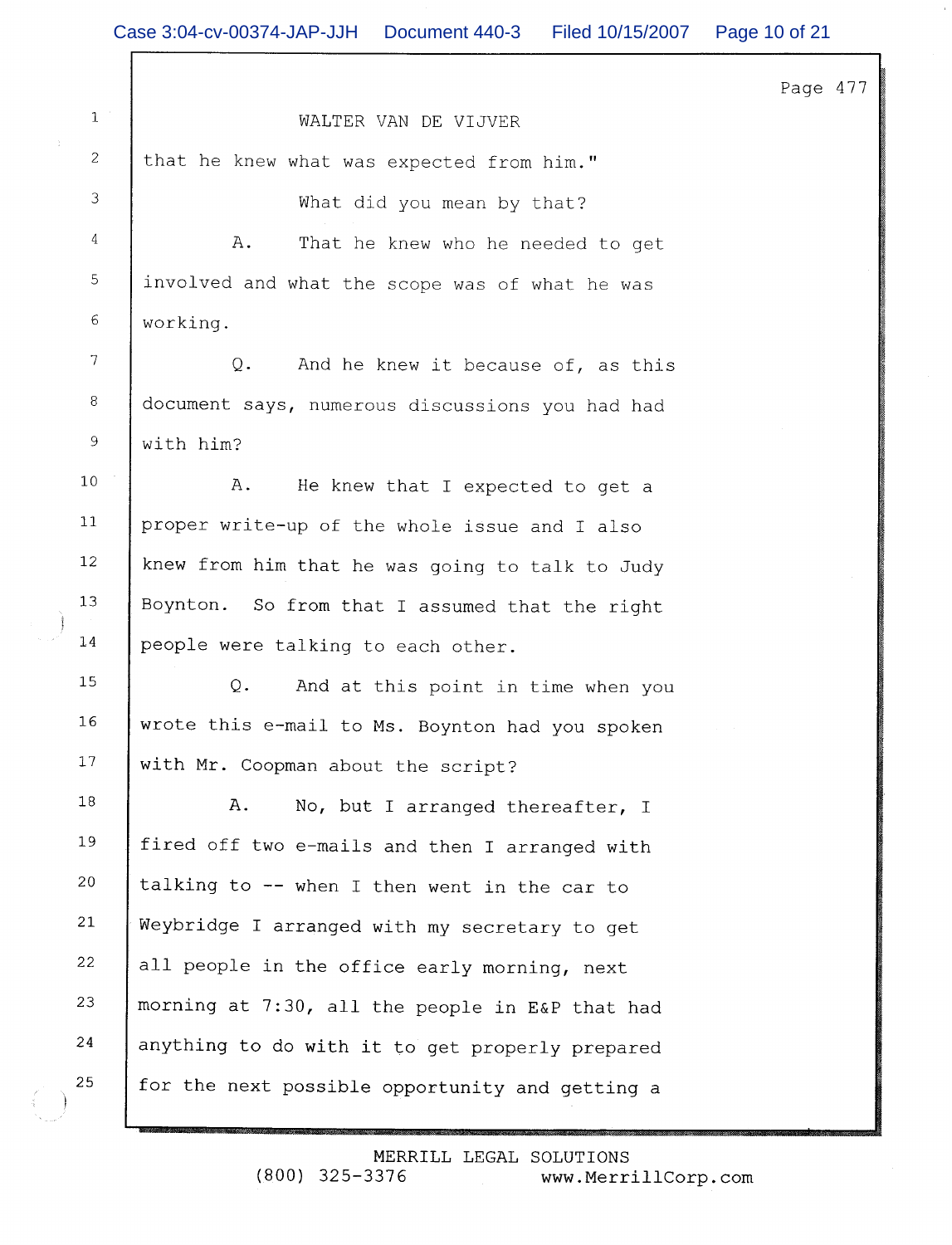| Case 3:04-cv-00374-JAP-JJH  Document 440-3  Filed 10/15/2007 |                                    | Page 10 of 21 |
|--------------------------------------------------------------|------------------------------------|---------------|
|                                                              |                                    | Page 477      |
|                                                              | WALTER VAN DE VIJVER               |               |
| that he knew what was expected from him."                    |                                    |               |
|                                                              | What did you mean by that?         |               |
| Α.                                                           | That he knew who he needed to get  |               |
| involved and what the scope was of what he was               |                                    |               |
| working.                                                     |                                    |               |
| $Q$ .                                                        | And he knew it because of, as this |               |
| document says, numerous discussions you had had              |                                    |               |
| with him?                                                    |                                    |               |
| Α.                                                           | He knew that I expected to get a   |               |
| proper write-up of the whole issue and I also                |                                    |               |
| knew from him that he was going to talk to Judy              |                                    |               |
| Boynton. So from that I assumed that the right               |                                    |               |
| people were talking to each other.                           |                                    |               |
| Q.                                                           | And at this point in time when you |               |
| wrote this e-mail to Ms. Boynton had you spoken              |                                    |               |
| with Mr. Coopman about the script?                           |                                    |               |
| Α.                                                           | No, but I arranged thereafter, I   |               |
| fired off two e-mails and then I arranged with               |                                    |               |
| talking to -- when I then went in the car to                 |                                    |               |
| Weybridge I arranged with my secretary to get                |                                    |               |
| all people in the office early morning, next                 |                                    |               |
| morning at 7:30, all the people in E&P that had              |                                    |               |
| anything to do with it to get properly prepared              |                                    |               |
| for the next possible opportunity and getting a              |                                    |               |

 $\begin{pmatrix} 1 & 1 \\ 1 & 1 \end{pmatrix}$ 

 $\begin{pmatrix} 1 \\ 1 \end{pmatrix}$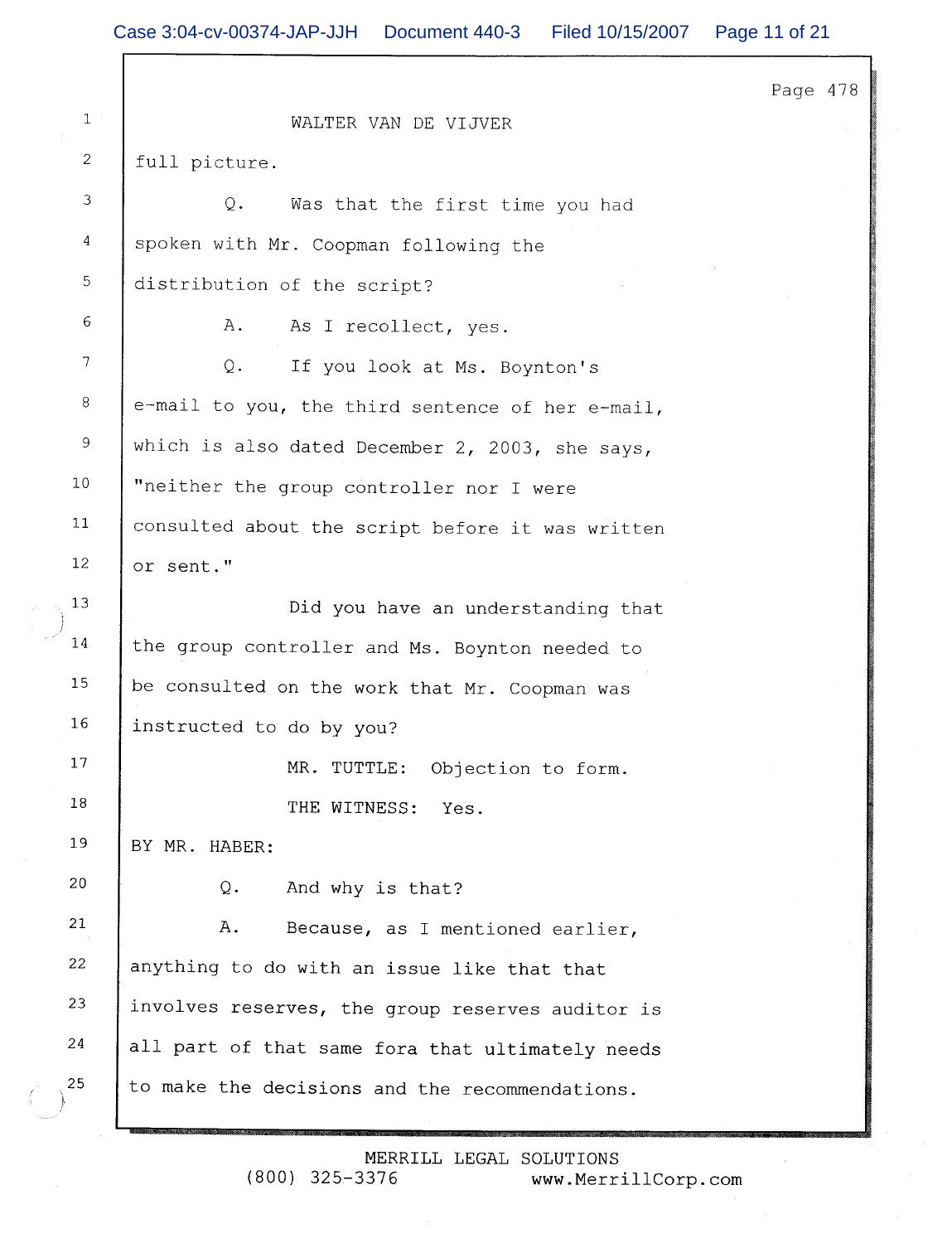$\Gamma$ 

|                  |                                                  | Page 478 |  |
|------------------|--------------------------------------------------|----------|--|
| $\mathbf{1}$     | WALTER VAN DE VIJVER                             |          |  |
| 2                | full picture.                                    |          |  |
| 3                | $Q$ .<br>Was that the first time you had         |          |  |
| 4                | spoken with Mr. Coopman following the            |          |  |
| 5                | distribution of the script?                      |          |  |
| 6                | Α.<br>As I recollect, yes.                       |          |  |
| $\boldsymbol{7}$ | Q.<br>If you look at Ms. Boynton's               |          |  |
| $\,8\,$          | e-mail to you, the third sentence of her e-mail, |          |  |
| $\overline{9}$   | which is also dated December 2, 2003, she says,  |          |  |
| 10               | "neither the group controller nor I were         |          |  |
| 11               | consulted about the script before it was written |          |  |
| 12               | or sent."                                        |          |  |
| 13               | Did you have an understanding that               |          |  |
| 14               | the group controller and Ms. Boynton needed to   |          |  |
| 15               | be consulted on the work that Mr. Coopman was    |          |  |
| 16               | instructed to do by you?                         |          |  |
| 17               | MR. TUTTLE:<br>Objection to form.                |          |  |
| 18               | THE WITNESS:<br>Yes.                             |          |  |
| 19               | BY MR. HABER:                                    |          |  |
| 20               | And why is that?<br>Q.                           |          |  |
| 21               | Α.<br>Because, as I mentioned earlier,           |          |  |
| 22               | anything to do with an issue like that that      |          |  |
| 23               | involves reserves, the group reserves auditor is |          |  |
| 24               | all part of that same fora that ultimately needs |          |  |
| 25               | to make the decisions and the recommendations.   |          |  |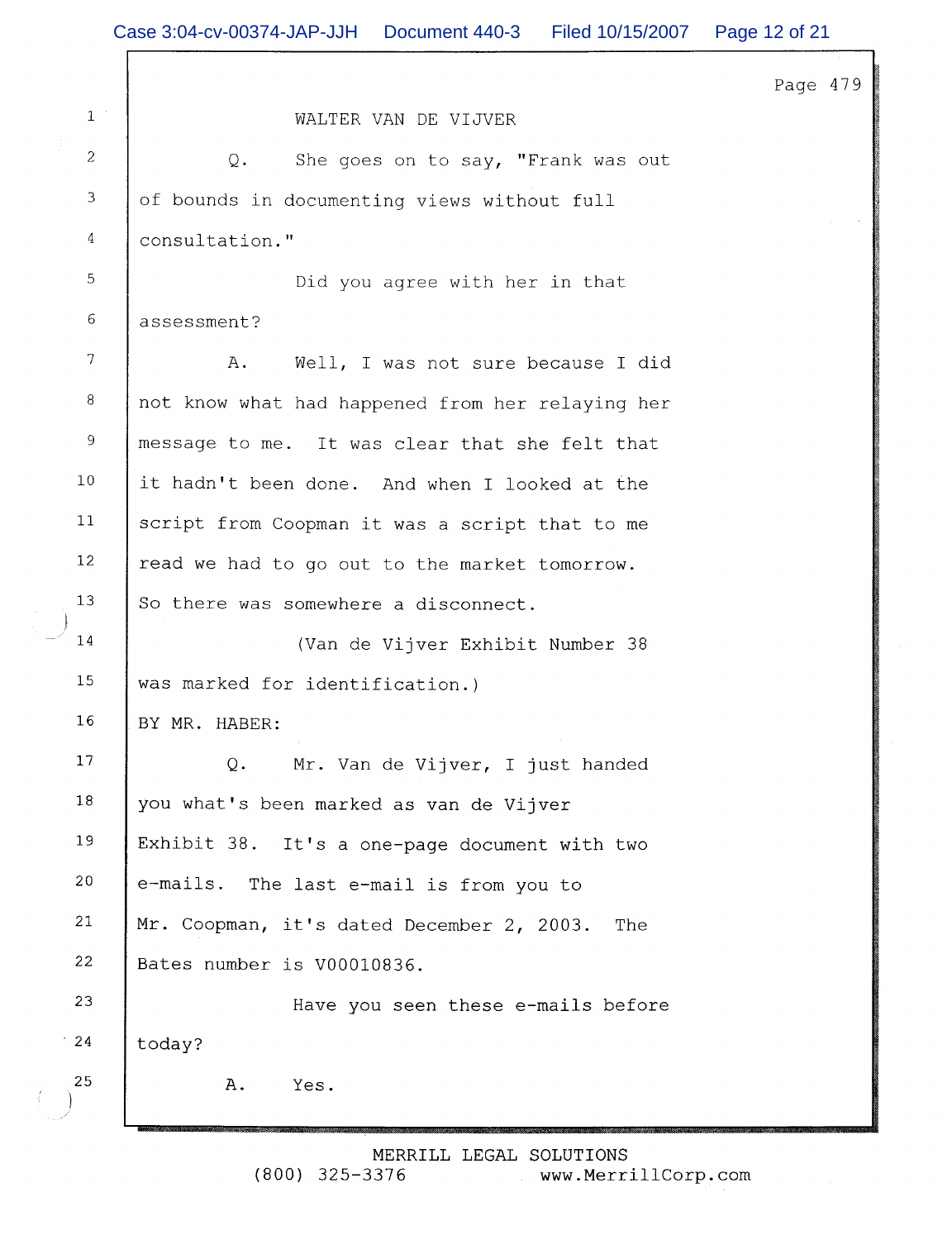|                  | Case 3:04-cv-00374-JAP-JJH   Document 440-3<br>Filed 10/15/2007 | Page 12 of 21 |
|------------------|-----------------------------------------------------------------|---------------|
|                  |                                                                 | Page 479      |
| $1\,$ $^{\circ}$ | WALTER VAN DE VIJVER                                            |               |
| $\overline{c}$   | Q.<br>She goes on to say, "Frank was out                        |               |
| $\mathfrak{Z}$   | of bounds in documenting views without full                     |               |
| 4                | consultation."                                                  |               |
| 5                | Did you agree with her in that                                  |               |
| 6                | assessment?                                                     |               |
| 7                | Well, I was not sure because I did<br>Α.                        |               |
| 8                | not know what had happened from her relaying her                |               |
| 9                | message to me. It was clear that she felt that                  |               |
| $10$             | it hadn't been done. And when I looked at the                   |               |
| 11               | script from Coopman it was a script that to me                  |               |
| 12               | read we had to go out to the market tomorrow.                   |               |
| 13               | So there was somewhere a disconnect.                            |               |
| 14               | (Van de Vijver Exhibit Number 38                                |               |
| 15               | was marked for identification.)                                 |               |
| 16               | BY MR. HABER:                                                   |               |
| 17               | Mr. Van de Vijver, I just handed<br>Q.                          |               |
| 18               | you what's been marked as van de Vijver                         |               |
| 19               | Exhibit 38. It's a one-page document with two                   |               |
| 20               | e-mails. The last e-mail is from you to                         |               |
| 21               | Mr. Coopman, it's dated December 2, 2003.<br>The                |               |
| 22               | Bates number is V00010836.                                      |               |
| 23               | Have you seen these e-mails before                              |               |
| $^{\circ}$ 24    | today?                                                          |               |
| 25               | Α.<br>Yes.                                                      |               |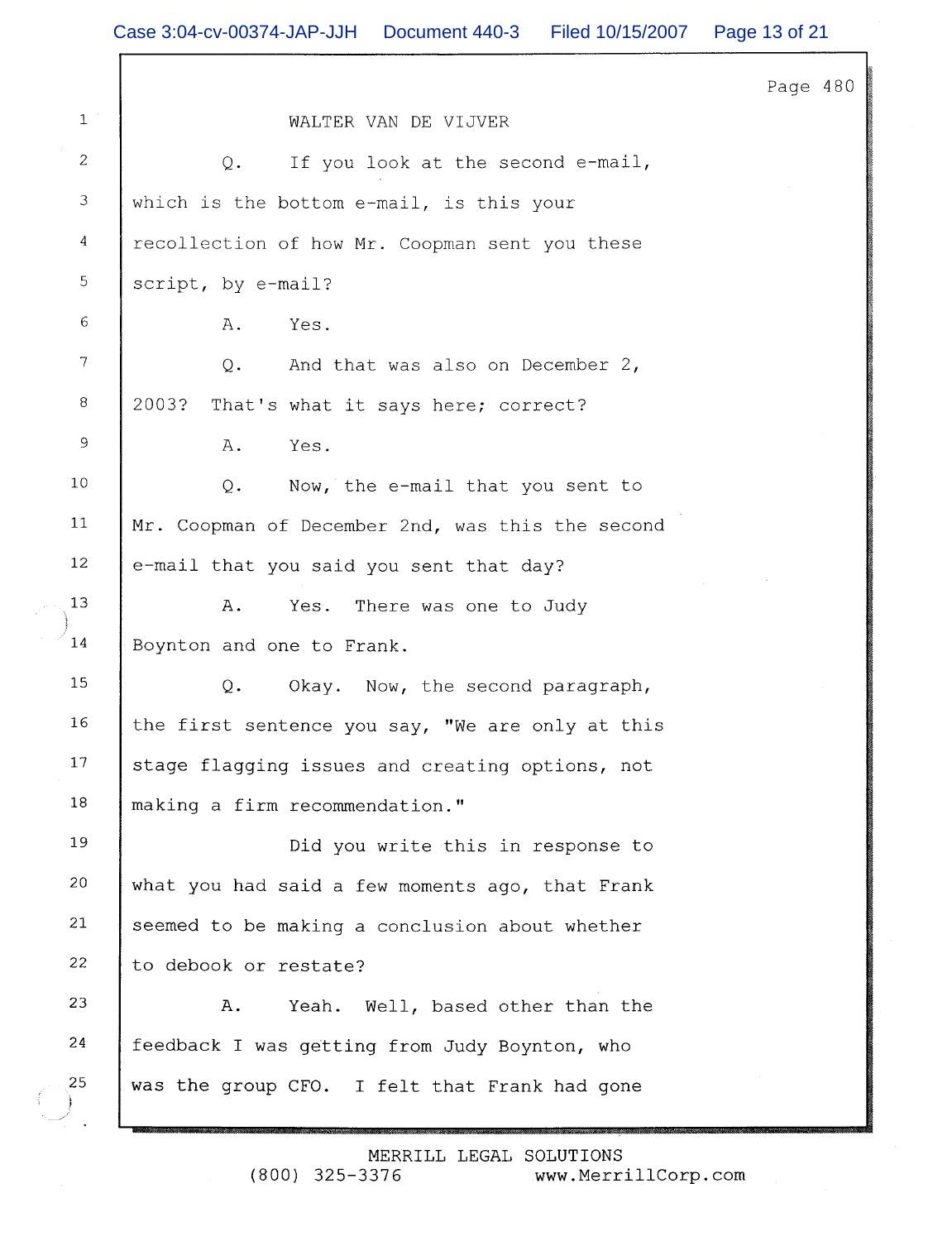|                  |                                                  | Page 480 |
|------------------|--------------------------------------------------|----------|
| $\mathbf{1}$     | WALTER VAN DE VIJVER                             |          |
| $\mathbf{2}$     | If you look at the second e-mail,<br>Q.          |          |
| $\mathfrak{Z}$   | which is the bottom e-mail, is this your         |          |
| 4                | recollection of how Mr. Coopman sent you these   |          |
| 5                | script, by e-mail?                               |          |
| 6                | Yes.<br>Α.                                       |          |
| $\boldsymbol{7}$ | And that was also on December 2,<br>Q.           |          |
| 8                | 2003?<br>That's what it says here; correct?      |          |
| $\mathsf 9$      | Yes.<br>Α.                                       |          |
| 10               | $Q$ .<br>Now, the e-mail that you sent to        |          |
| 11               | Mr. Coopman of December 2nd, was this the second |          |
| 12               | e-mail that you said you sent that day?          |          |
| 13               | Yes. There was one to Judy<br>Α.                 |          |
| 14               | Boynton and one to Frank.                        |          |
| 15               | Q.<br>Okay. Now, the second paragraph,           |          |
| 16               | the first sentence you say, "We are only at this |          |
| 17               | stage flagging issues and creating options, not  |          |
| 18               | making a firm recommendation."                   |          |
| 19               | Did you write this in response to                |          |
| 20               | what you had said a few moments ago, that Frank  |          |
| 21               | seemed to be making a conclusion about whether   |          |
| 22               | to debook or restate?                            |          |
| 23               | Yeah. Well, based other than the<br>Α.           |          |
| 24               | feedback I was getting from Judy Boynton, who    |          |
| 25               | was the group CFO. I felt that Frank had gone    |          |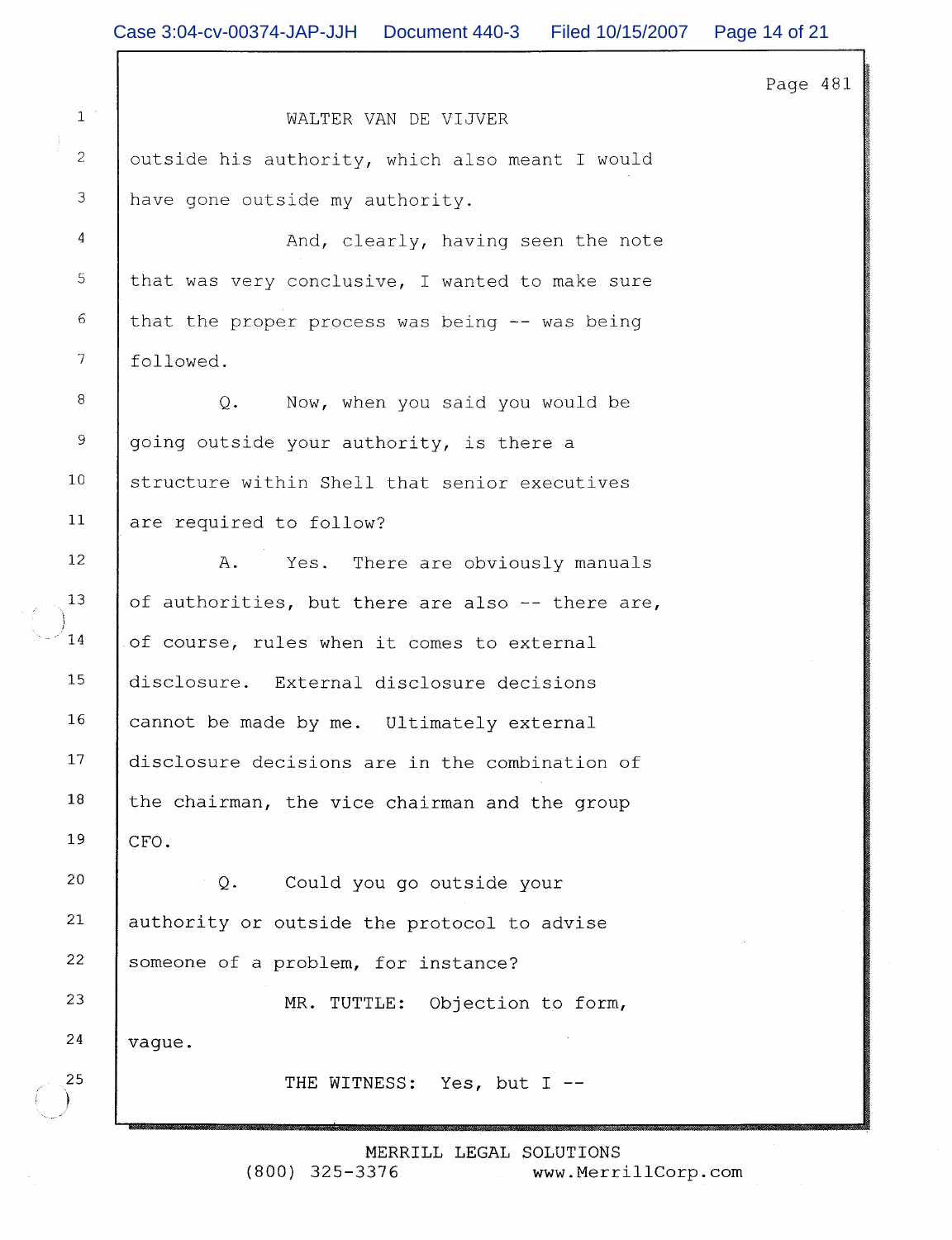| Page | 481 |  |
|------|-----|--|
|      |     |  |

WALTER VAN DE VIJVER outside his authority, which also meant I would have gone outside my authority.

And, clearly, having seen the note that was very conclusive, I wanted to make sure that the proper process was being -- was being followed.

Now, when you said you would be  $Q_{\bullet}$ going outside your authority, is there a structure within Shell that senior executives are required to follow?

A. Yes. There are obviously manuals of authorities, but there are also -- there are, of course, rules when it comes to external disclosure. External disclosure decisions cannot be made by me. Ultimately external disclosure decisions are in the combination of the chairman, the vice chairman and the group CFO.

 $O<sub>1</sub>$ Could you go outside your authority or outside the protocol to advise someone of a problem, for instance? MR. TUTTLE: Objection to form,

vaque.

 $\mathbf{1}$ 

 $\overline{c}$ 

 $\overline{3}$ 

 $\pmb{4}$ 

5

 $\epsilon$ 

 $\overline{7}$ 

8

9

 $10$ 

 $11$ 

12

13

 $14$ 

15

16

 $17$ 

18

19

20

21

22

23

24

25

THE WITNESS: Yes, but I --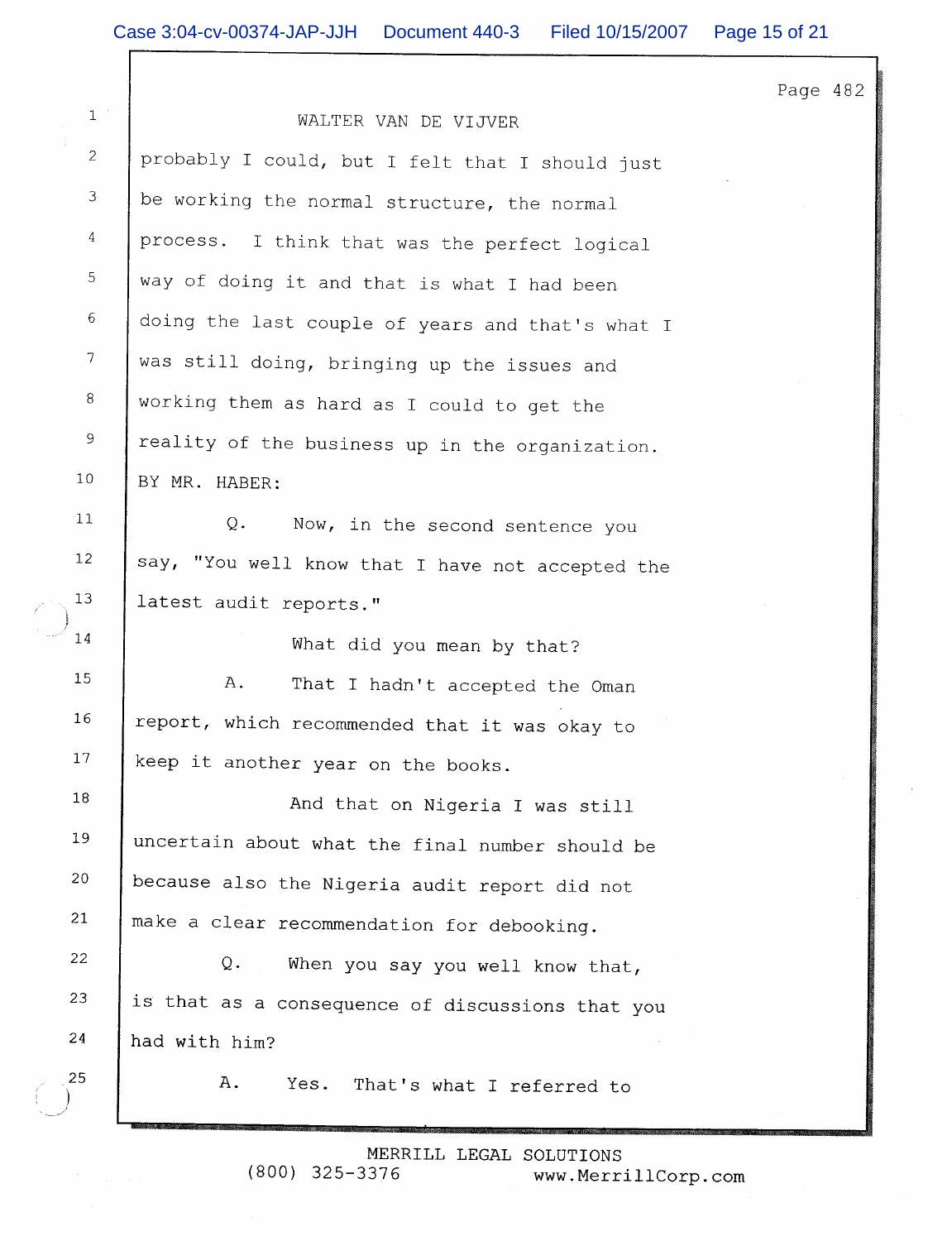Page 482

20

21

22

23

24

25

 $\mathbf{1}$ 

WALTER VAN DE VIJVER probably I could, but I felt that I should just be working the normal structure, the normal process. I think that was the perfect logical way of doing it and that is what I had been doing the last couple of years and that's what I was still doing, bringing up the issues and working them as hard as I could to get the reality of the business up in the organization. BY MR. HABER:  $\circ$ . Now, in the second sentence you say, "You well know that I have not accepted the latest audit reports." What did you mean by that?  $A.$ That I hadn't accepted the Oman report, which recommended that it was okay to keep it another year on the books. And that on Nigeria I was still uncertain about what the final number should be because also the Nigeria audit report did not make a clear recommendation for debooking.  $Q$ . When you say you well know that, is that as a consequence of discussions that you had with him? A. Yes. That's what I referred to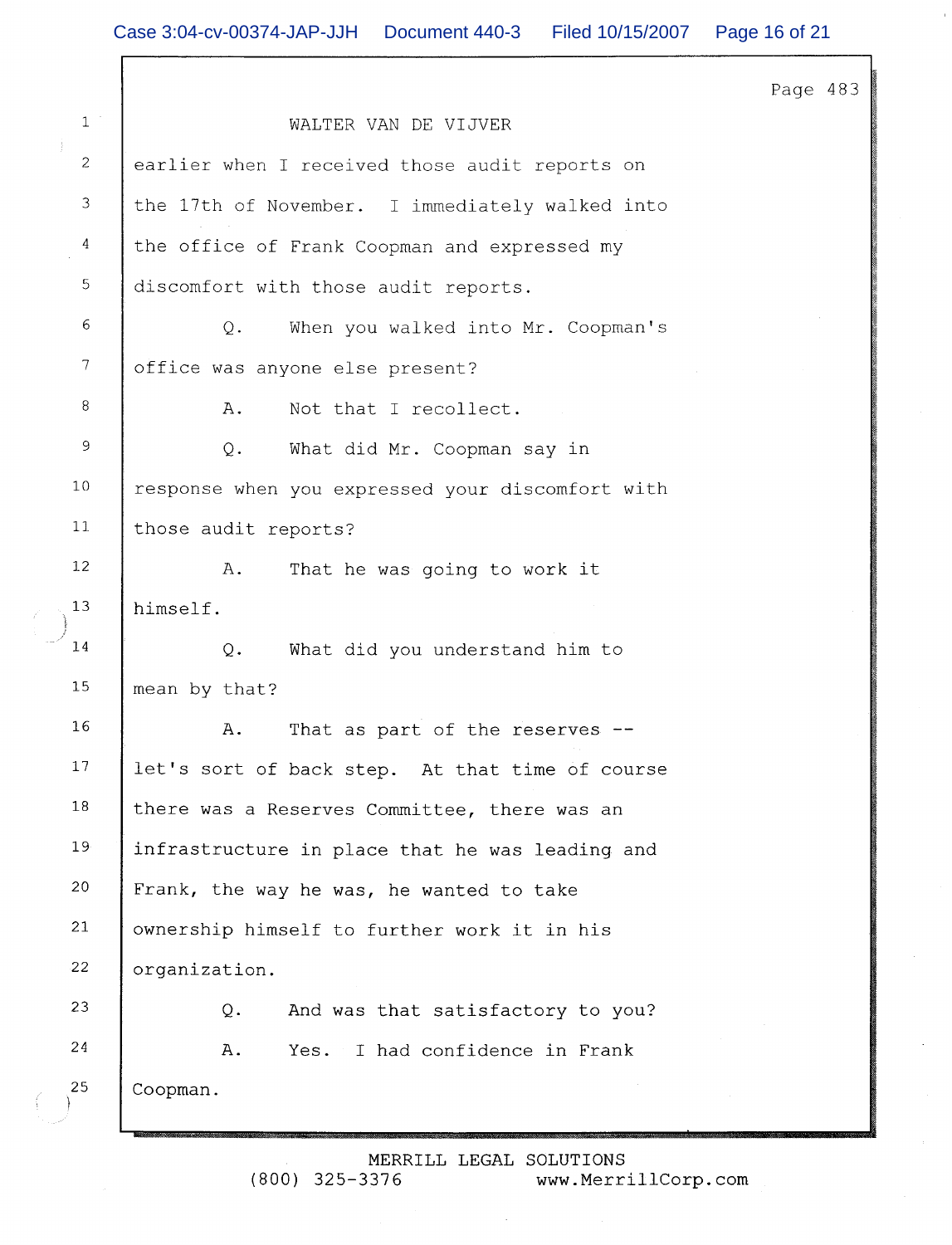Page 483  $\mathbf{1}$ WALTER VAN DE VIJVER 2 earlier when I received those audit reports on 3 the 17th of November. I immediately walked into 4 the office of Frank Coopman and expressed my 5 discomfort with those audit reports. 6 When you walked into Mr. Coopman's  $\circ$ .  $\overline{7}$ office was anyone else present? 8 Not that I recollect.  $A$ .  $\overline{9}$  $Q_{\bullet}$ What did Mr. Coopman say in  $10$ response when you expressed your discomfort with  $11$ those audit reports?  $12$  $A$ . That he was going to work it 13 himself.  $1\,4$  $Q$ . What did you understand him to 15 mean by that? 16 A. That as part of the reserves --17 let's sort of back step. At that time of course 18 there was a Reserves Committee, there was an 19 infrastructure in place that he was leading and 20 Frank, the way he was, he wanted to take  $21$ ownership himself to further work it in his 22 organization. 23  $Q_{\bullet}$ And was that satisfactory to you? 24  $A$ . Yes. I had confidence in Frank 25 Coopman.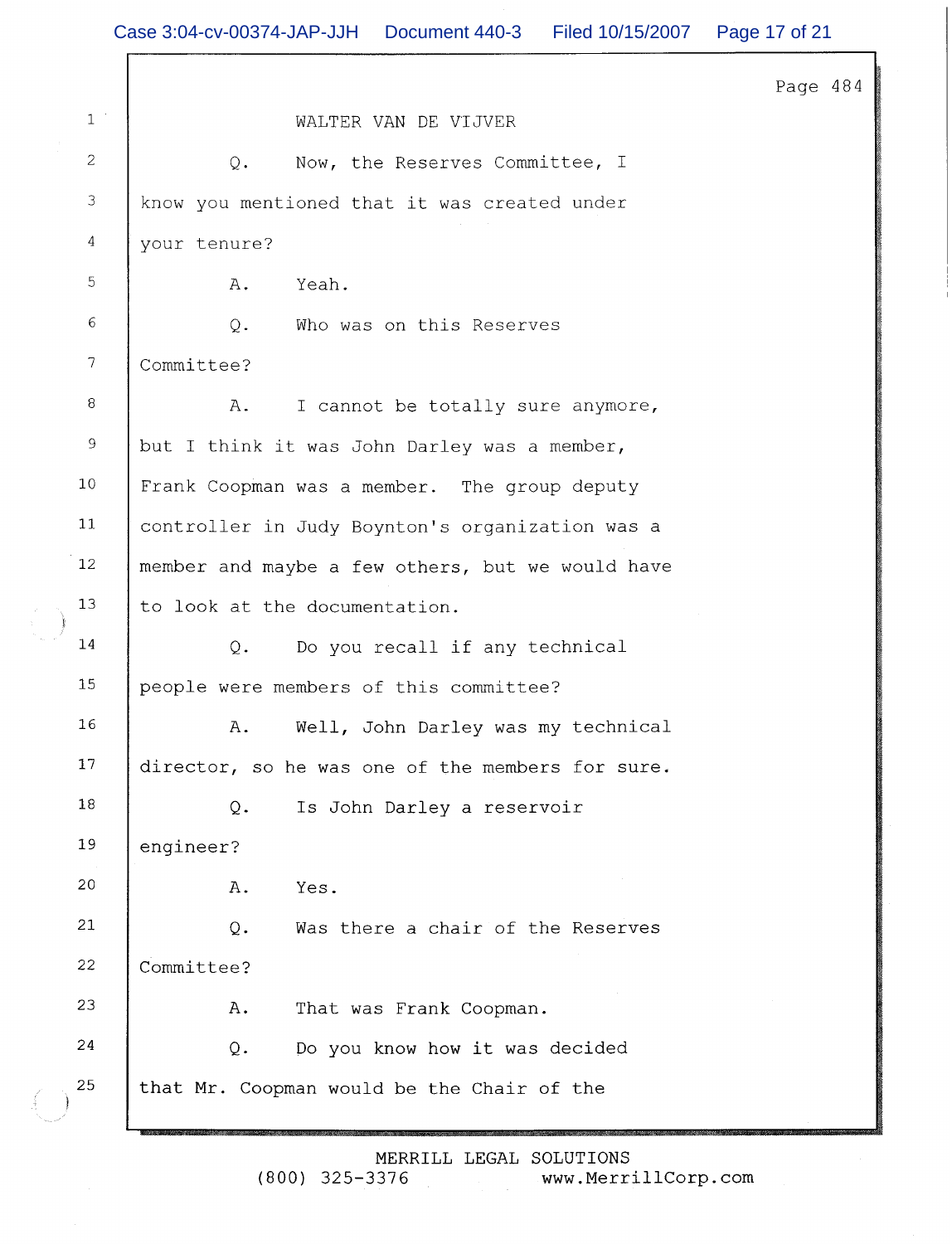$\Gamma$ 

 $\begin{pmatrix} 1 \\ 1 \end{pmatrix}$ 

|                  |                                                  | Page 484 |  |
|------------------|--------------------------------------------------|----------|--|
| $1$ $^{\circ}$   | WALTER VAN DE VIJVER                             |          |  |
| $\overline{c}$   | Now, the Reserves Committee, I<br>$Q_{\star}$    |          |  |
| $\mathfrak{Z}$   | know you mentioned that it was created under     |          |  |
| $\overline{4}$   | your tenure?                                     |          |  |
| $\mathbb S$      | Yeah.<br>Α.                                      |          |  |
| $\epsilon$       | $Q$ .<br>Who was on this Reserves                |          |  |
| $\boldsymbol{7}$ | Committee?                                       |          |  |
| $\, 8$           | I cannot be totally sure anymore,<br>Α.          |          |  |
| $\overline{9}$   | but I think it was John Darley was a member,     |          |  |
| 10               | Frank Coopman was a member. The group deputy     |          |  |
| 11               | controller in Judy Boynton's organization was a  |          |  |
| 12               | member and maybe a few others, but we would have |          |  |
| 13               | to look at the documentation.                    |          |  |
| 14               | Do you recall if any technical<br>Q.             |          |  |
| 15               | people were members of this committee?           |          |  |
| 16               | Well, John Darley was my technical<br>Α.         |          |  |
| $17$             | director, so he was one of the members for sure. |          |  |
| 18               | Q.<br>Is John Darley a reservoir                 |          |  |
| 19               | engineer?                                        |          |  |
| 20               | Yes.<br>Α.                                       |          |  |
| 21               | Was there a chair of the Reserves<br>Q.          |          |  |
| 22               | Committee?                                       |          |  |
| 23               | A.<br>That was Frank Coopman.                    |          |  |
| 24               | Do you know how it was decided<br>Q.             |          |  |
| 25               | that Mr. Coopman would be the Chair of the       |          |  |
|                  |                                                  |          |  |

MERRILL LEGAL SOLUTIONS

 $(800)$  325-3376 www.MerrillCorp.com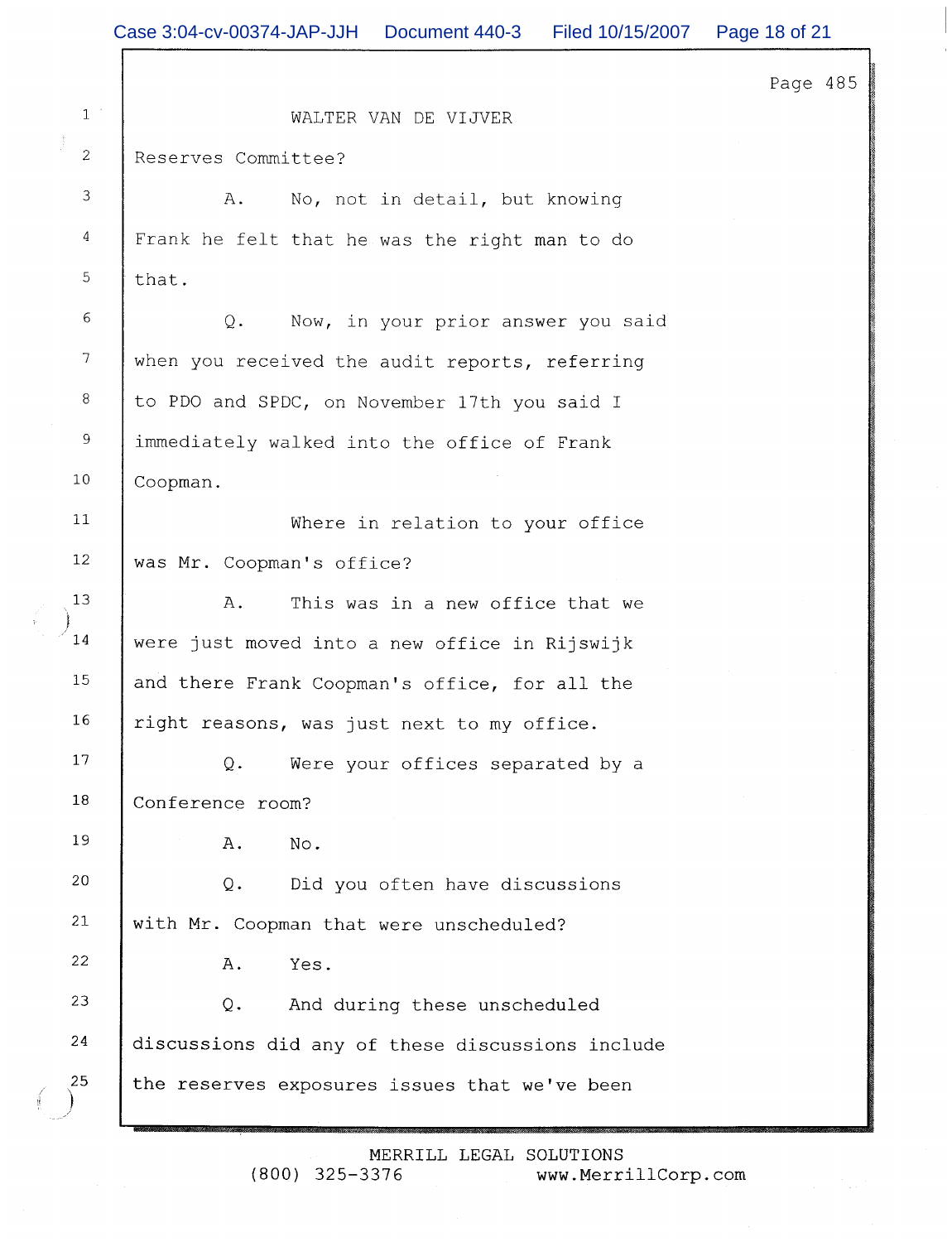Page 485

| $\mathbf{1}$         |     |
|----------------------|-----|
| j.<br>$\overline{c}$ | Res |
| 3                    |     |
| $\overline{4}$       | Fra |
| 5                    | tha |
| 6                    |     |
| 7                    | whe |
| 8                    | to  |
| 9                    | imm |
| 10                   | Coo |
| 11                   |     |
| 12                   | was |
| 13<br>Ì              |     |
| 14                   | wer |
| 15                   | and |
| 16                   | rig |
| 17                   |     |
| 18                   | Con |
| 19                   |     |
| 20                   |     |
| 21                   | wit |
| $\overline{2}2$      |     |
| 23                   |     |
| 24                   | dis |
| 25                   | the |

WALTER VAN DE VIJVER

erves Committee?

 $A$ . No, not in detail, but knowing nk he felt that he was the right man to do t.

 $Q$ . Now, in your prior answer you said n you received the audit reports, referring PDO and SPDC, on November 17th you said I ediately walked into the office of Frank pman.

Where in relation to your office Mr. Coopman's office?

 $A.$ This was in a new office that we e just moved into a new office in Rijswijk there Frank Coopman's office, for all the tht reasons, was just next to my office.

 $Q$ . Were your offices separated by a ference room?

> Α.  $No.$

 $Q$ . Did you often have discussions h Mr. Coopman that were unscheduled?

> Α. Yes.

 $Q$ . And during these unscheduled cussions did any of these discussions include the reserves exposures issues that we've been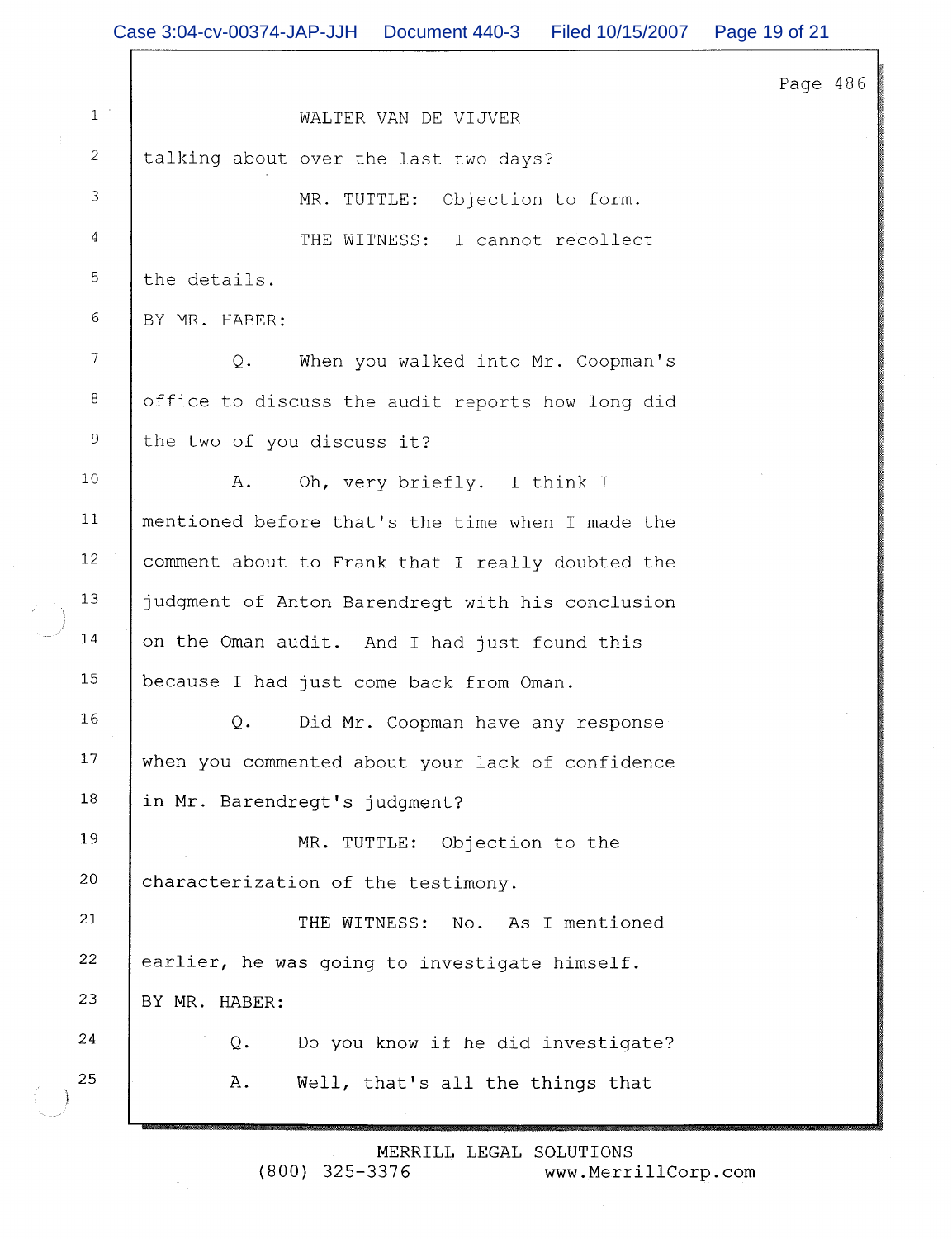|  |                | Case 3:04-cv-00374-JAP-JJH   Document 440-3<br>Filed 10/15/2007 | Page 19 of 21 |
|--|----------------|-----------------------------------------------------------------|---------------|
|  |                |                                                                 | Page 486      |
|  | $1\,$ $^\circ$ | WALTER VAN DE VIJVER                                            |               |
|  | 2              | talking about over the last two days?                           |               |
|  | 3              | MR. TUTTLE:<br>Objection to form.                               |               |
|  | 4              | THE WITNESS: I cannot recollect                                 |               |
|  | 5              | the details.                                                    |               |
|  | 6              | BY MR. HABER:                                                   |               |
|  | $\tau$         | $Q$ .<br>When you walked into Mr. Coopman's                     |               |
|  | 8              | office to discuss the audit reports how long did                |               |
|  | 9              | the two of you discuss it?                                      |               |
|  | $10$           | A.<br>Oh, very briefly. I think I                               |               |
|  | 11             | mentioned before that's the time when I made the                |               |
|  | 12             | comment about to Frank that I really doubted the                |               |
|  | 13             | judgment of Anton Barendregt with his conclusion                |               |
|  | $14$           | on the Oman audit. And I had just found this                    |               |
|  | 15             | because I had just come back from Oman.                         |               |
|  | 16             | Q.<br>Did Mr. Coopman have any response                         |               |
|  | 17             | when you commented about your lack of confidence                |               |
|  | 18             | in Mr. Barendregt's judgment?                                   |               |
|  | 19             | MR. TUTTLE:<br>Objection to the                                 |               |
|  | 20             | characterization of the testimony.                              |               |
|  | 21             | THE WITNESS:<br>As I mentioned<br>No.                           |               |
|  | 22             | earlier, he was going to investigate himself.                   |               |
|  | 23             | BY MR. HABER:                                                   |               |
|  | 24             | Do you know if he did investigate?<br>Q.                        |               |
|  | 25             | Well, that's all the things that<br>Α.                          |               |
|  |                |                                                                 |               |

MERRILL LEGAL SOLUTIONS<br>(800) 325-3376 www.Merri www.MerrillCorp.com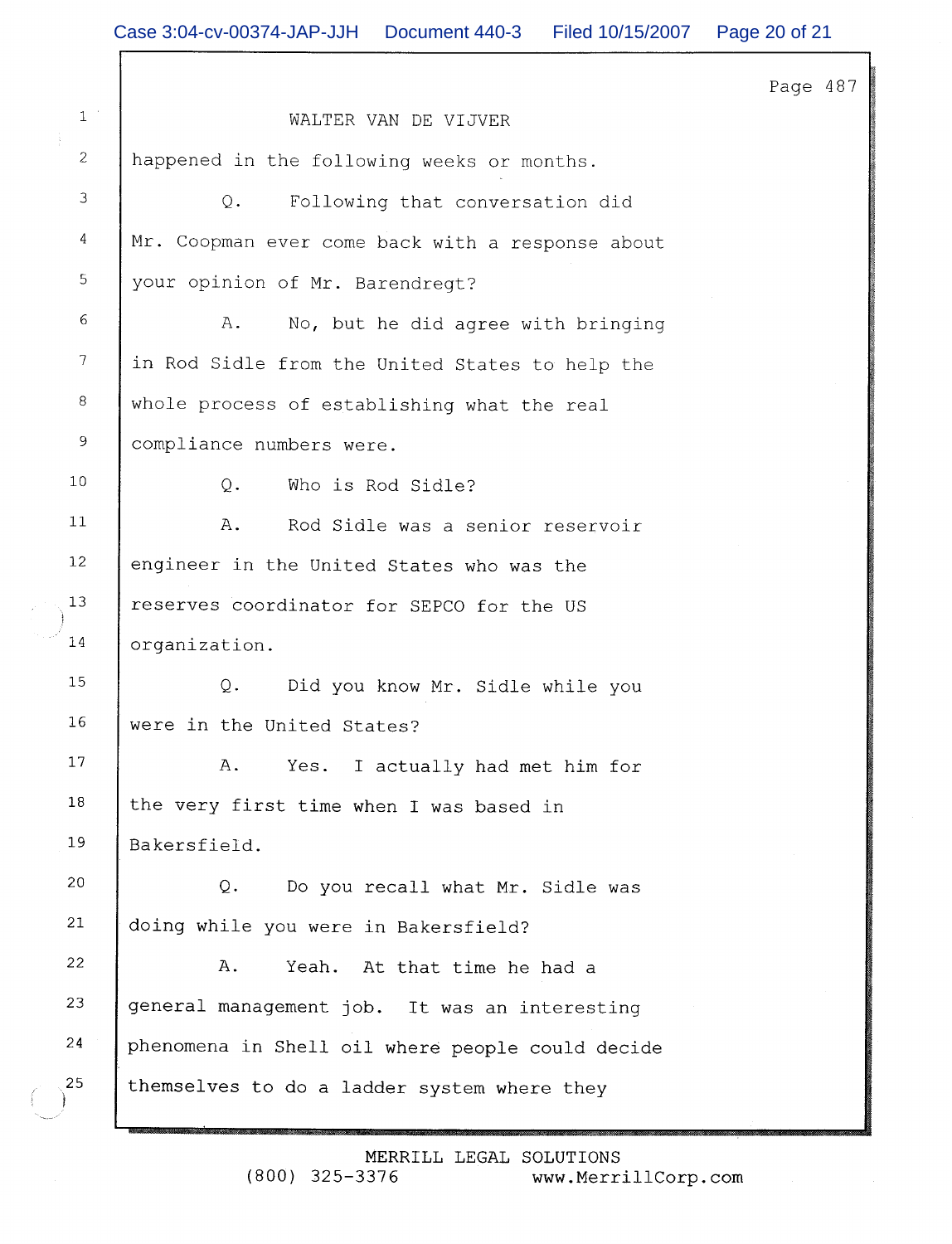Page 487

| $1\,$ $^{\circ}$ | WALTER VAN DE VIJVER                             |  |  |
|------------------|--------------------------------------------------|--|--|
| $\overline{c}$   | happened in the following weeks or months.       |  |  |
| $\mathsf 3$      | Following that conversation did<br>$Q$ .         |  |  |
| $\overline{4}$   | Mr. Coopman ever come back with a response about |  |  |
| 5                | your opinion of Mr. Barendregt?                  |  |  |
| 6                | Α.<br>No, but he did agree with bringing         |  |  |
| $\boldsymbol{7}$ | in Rod Sidle from the United States to help the  |  |  |
| 8                | whole process of establishing what the real      |  |  |
| $\,9$            | compliance numbers were.                         |  |  |
| 10               | Q.<br>Who is Rod Sidle?                          |  |  |
| 11               | Rod Sidle was a senior reservoir<br>Α.           |  |  |
| 12               | engineer in the United States who was the        |  |  |
| 13               | reserves coordinator for SEPCO for the US        |  |  |
| 14               | organization.                                    |  |  |
| $15\,$           | $Q$ .<br>Did you know Mr. Sidle while you        |  |  |
| 16               | were in the United States?                       |  |  |
| 17               | Α.<br>Yes.<br>I actually had met him for         |  |  |
| 18               | the very first time when I was based in          |  |  |
| 19               | Bakersfield.                                     |  |  |
| 20               | $Q$ .<br>Do you recall what Mr. Sidle was        |  |  |
| 21               | doing while you were in Bakersfield?             |  |  |
| 22               | Α.<br>At that time he had a<br>Yeah.             |  |  |
| 23               | general management job. It was an interesting    |  |  |
| 24               | phenomena in Shell oil where people could decide |  |  |
| 25               | themselves to do a ladder system where they      |  |  |
|                  |                                                  |  |  |